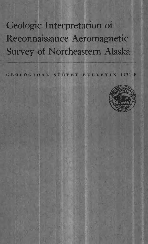# Geologic Interpretation of Reconnaissance Aeromagnetic Survey of Northeastern Alaska

**GEOLOGICAL SURVEY BULLETIN 1271-F**

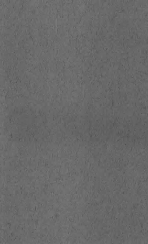**MOVA**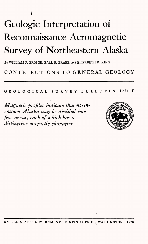# Geologic Interpretation of Reconnaissance Aeromagnetic Survey of Northeastern Alaska

*By* WILLIAM P. BROSGE, EARL E. BRABB, *and* ELIZABETH R. KING CONTRIBUTIONS TO GENERAL GEOLOGY

GEOLOGICAL SURVEY BULLETIN 1271-F

*Magnetic profiles indicate that northeastern Alaska may be divided into five areas, each of which has a distinctive magnetic character*



**UNITED STATES GOVERNMENT PRINTING OFFICE, WASHINGTON : 1970**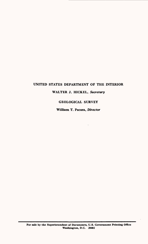# **UNITED STATES DEPARTMENT OF THE INTERIOR WALTER J. HICKEL,** *Secretary*

#### **GEOLOGICAL SURVEY**

**William T. Pecora,** *Director*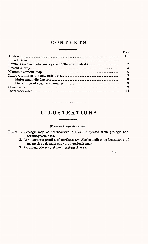## CONTENTS

|                                                      | Page             |
|------------------------------------------------------|------------------|
|                                                      | F1               |
|                                                      |                  |
| Previous aeromagnetic surveys in northeastern Alaska | $\boldsymbol{2}$ |
|                                                      | 3                |
|                                                      | 4                |
| Interpretation of the magnetic data                  | 5                |
|                                                      | 6                |
|                                                      | 8                |
|                                                      | 12               |
|                                                      | 12               |

## ILLUSTRATIONS

[Plates are in separate volume]

- PLATE 1. Geologic map of northeastern Alaska interpreted from geologic and aeromagnetic data.
	- 2. Aeromagnetic profiles of northeastern Alaska indicating boundaries of magnetic rock units shown on geologic map.
	- 3. Aeromagnetic map of northeastern Alaska.

ŧ

ni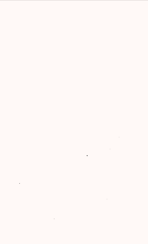$\label{eq:2.1} \frac{1}{2} \sum_{i=1}^n \frac{1}{2} \sum_{j=1}^n \frac{1}{2} \sum_{j=1}^n \frac{1}{2} \sum_{j=1}^n \frac{1}{2} \sum_{j=1}^n \frac{1}{2} \sum_{j=1}^n \frac{1}{2} \sum_{j=1}^n \frac{1}{2} \sum_{j=1}^n \frac{1}{2} \sum_{j=1}^n \frac{1}{2} \sum_{j=1}^n \frac{1}{2} \sum_{j=1}^n \frac{1}{2} \sum_{j=1}^n \frac{1}{2} \sum_{j=1}^n \frac{$  $\label{eq:2.1} \frac{1}{\sqrt{2}}\int_{0}^{\infty}\frac{1}{\sqrt{2\pi}}\left(\frac{1}{\sqrt{2\pi}}\right)^{2}d\mu\,d\mu\,.$  $\mathcal{L}^{\text{max}}_{\text{max}}$  , where  $\mathcal{L}^{\text{max}}_{\text{max}}$  $\mathcal{L}^{\text{max}}_{\text{max}}$  , where  $\mathcal{L}^{\text{max}}_{\text{max}}$  $\mathcal{L}(\mathcal{L}^{\text{max}}_{\mathcal{L}})$  , where  $\mathcal{L}^{\text{max}}_{\mathcal{L}}$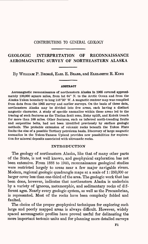#### CONTRIBUTIONS TO GENERAL GEOLOGY

### **GEOLOGIC INTERPRETATION OF RECONNAISSANCE AEROMAGNETIC SURVEY OF NORTHEASTERN ALASKA**

By WILLIAM P. BROSGE, EARL E. BRABB, and ELIZABETH R. KING

#### ABSTRACT

Aeromagnetic reconnaissance of northeastern Alaska in 1965 covered approximately 100,000 square miles, from lat 64° N. to the Arctic Ocean and from the Alaska-Yukon boundary to long 148°30' W. A magnetic contour map was compiled from data from the 1965 survey and earlier surveys. On the basis of these data, northeastern Alaska may be divided into five areas, each having a distinct magnetic character. A study of specific anomalies within these areas led to the tracing of such features as the Tintina fault zone, Ruby uplift, and Kobuk trench for more than 100 miles. Other features, such as inferred north-trending faults and serpentine belts, had not been identified previously by surface geologic methods. The probable extension of volcanic rocks beneath the Yukon Flats limits the size of a possible Tertiary petroleum basin. Discovery of large magnetic anomalies in the Yukon-Tanana Upland provides new possibilities for exploration for mineral deposits associated with ultramafic rocks.

#### **INTRODUCTION**

The geology of northeastern Alaska, like that of many other parts of the State, is not well known, and geophysical exploration has not been extensive. From 1888 to 1940, reconnaissance geological studies were restricted largely to areas near a few major navigable rivers. Modern, regional geologic quadrangle maps at a scale of 1: 250,000 or larger cover less than one-third of the area. The geologic work that has been done, however, indicates that northeastern Alaska is underlain by a variety of igneous, metamorphic, and sedimentary rocks of different ages. Nearly every geologic system, as well as the Precambrian, is represented. Most of the rocks have been complexly folded and faulted.

The choice of the proper geophysical techniques for exploring such large and poorly mapped areas is always difficult. However, widely spaced aeromagnetie profiles have proved useful for delineating the more important tectonic units and for planning more detailed surveys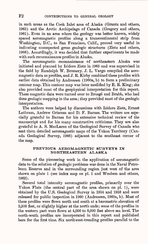in such areas as the Cook Inlet area of Alaska (Grantz and others, 1963) and the Arctic Archipelago of Canada (Gregory and others, 1961). Even in an area where the geology was better known, widely spaced aeromagnetic profiles along a transcontinental strip from Washington, D.C., to San Francisco, Calif., proved very useful in indicating unsuspected gross geologic structures (Zietz and others, 1966). Accordingly, it was decided that further experiments be made with such reconnaissance profiles in Alaska.

The aeromagnetic reconnaissance of northeastern Alaska was initiated and planned by Isidore Zietz in 1965 and was supervised in the field by Randolph W. Bromery. J. L. Vargo compiled the aeromagnetic data as profiles, and J. R. Kirby combined these profiles with earlier data obtained by Andreasen (1960a, b) to form a preliminary contour map. This contour map was later modified by E. R. King; she also provided most of the geophysical interpretation for this report. These magnetic data were turned over to Brosge and Brabb, who had done geologic mapping in the area; they provided most of the geologic interpretation.

The authors were helped by discussions with Isidore Zietz, Ernest Lathram, Andrew Griscom and D. F. Barnes. The writers are especially grateful to Barnes for his extensive technical review of the manuscript and for his many constructive criticisms. They are also grateful to A. S. MacLaren of the Geological Survey of Canada who sent them detailed aeromagnetic maps of the Yukon Territory (Canada Geological Survey, 1966) adjacent to the southeast corner of the map.

#### **PREVIOUS AEROMAGNETIC SURVEYS IN NORTHEASTERN ALASKA**

Some of the pioneering work in the application of aeromagnetic data to the solution of geologic problems was done in the Naval Petroleum Reserve and in the surrounding region just west of the area shown on plate 1 (see index map on pl.  $1$  and Woolson and others, 1962).

Several total intensity aeromagnetic profiles, primarily over the Yukon Flats (the central part of the area shown on pl. 1), were obtained by the U.S. Geological Survey in 1954 and 1958 and were released for public inspection in 1960 (Andreasen, 1960a, b). Most of these profiles were flown north and south at a barometric elevation of 2,500 feet, or slightly higher at the north ends; some of the profiles in the western part were flown at 4,000 to 8,000 feet above sea level. The north-south profiles are incorporated in this report and published here for the first time. Six northwest-trending profiles parallel to the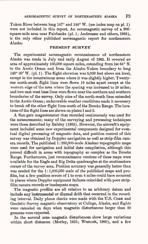Yukon River between long 147° and 144° W. (see index map on pl. 1) were not included in this report. An aeromagnetic survey of a 900square-mile area near Fairbanks (pi. 1; Andreasen and others, 1964), is the only other published aeromagnetic report for northeastern Alaska.

#### **PRESENT SURVEY**

The experimental aeromagnetic reconnaissance of northeastern Alaska was made in July and early August of 1965. It covered an area of approximately 100,000 square miles, extending from lat 64° N. to the Arctic Ocean and from the Alaska-Yukon boundary to long 148° 30' W. (pi. 1). The flight elevation was 5,000 feet above sea level, except in the mountainous areas where it was slightly higher. Twentyone north-south flight lines were flown 10 miles apart except at the western edge of the area where the spacing was increased to 20 miles; and two east-west base lines were flown near the northern and southern boundaries of the survey. Only nine of the north-south lines extended to the Arctic Ocean; unfavorable weather conditions made it necessary to break off the other flight lines south of the Brooks Range. The locations of the flight lines are shown on plates 1 and 3.

A flux-gate magnetometer that recorded continuously was used for the measurements; many of the surveying and processing techniques were those described by Balsley (1952). However, the aircraft's equipment included some new experimental components designed for eventual digital processing of magnetic data, and position control of this survey was obtained by Doppler navigation as well as strip-film camera records. The published 1: 250,000-scale Alaskan topographic maps were used for navigation and initial data compilation, although this proved difficult in areas with topography as complex as the Brooks Range. Furthermore, just reconnaissance versions of these maps were available for the Eagle and Big Delta quadrangles at the southeastern corner of the survey area. Position accuracy was generally better than was needed for the 1:1,000,000 scale of the published maps and profiles, but a few position errors of 1 to even 4 miles could have occurred in places where Doppler equipment failures coincided with poor stripfilm camera records or inadequate maps.

The magnetic profiles are all relative to an arbitrary datum and include any instrumental or diurnal drift that occurred in the recording interval. Daily phone checks were made with the U.S. Coast and Geodetic Survey magnetic observatory at College, Alaska, and flights were canceled on days when magnetic disturbances larger than 50 gammas were expected.

In the auroral zone magnetic disturbances show large variations within short distances (Morley, 1953; Westcott, 1960), and a few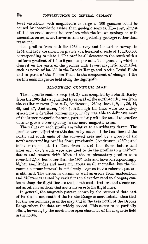local variations with magnitudes as large as 100 gammas could be caused by ionospheric rather than geologic sources. However, almost all the observed anomalies correlate with the known geology or with anomalies on adjacent traverses and are probably geologic rather than transient.

The profiles from both the 1965 survey and the earlier surveys in 1954 and 1958 are shown on plate 2 at a horizontal scale of 1:1,000,000 corresponding to plate 1. The profiles all decrease to the south with a uniform gradient of 1.5 to 2 gammas per mile. This gradient, which is clearest on the parts of the profiles with fewest magnetic anomalies, such as north of lat 68° in the Brooks Kange and Arctic Costal Plain and in parts of the Yukon Flats, is the component of change of the earth's main magnetic field along the flightpath.

#### **MAGNETIC CONTOUR MAP**

The magnetic contour map (pi. 3) was compiled by John R. Kirby from the 1965 data augmented by several of the north-south lines from the earlier surveys (line 8-B, Andreasen, 1960a; lines 1, 2, 11, 36, 44, 45, and 4Y, Andreasen, 1960b). Although the lines were too widely spaced for a detailed contour map, Kirby was able to delineate most of the larger magnetic features, particularly with the use of the earlier data to give a closer spacing in the more magnetic areas.

The values on each profile are relative to an arbitrary datum. The profiles were adjusted to this datum by means of the base lines at the north and south ends of the surveyed area and by a group of six northwest-trending profiles flown previously. (Andreasen, 1960b; and index map on pi. 1.) Data from a test line flown before and after each day's work were also used to tie the profiles to a uniform datum and remove drift. Most of the supplementary profiles were recorded 2,500 feet lower than the 1965 data and have correspondingly higher amplitudes and more numerous small anomalies, but the 20 gamma contour interval is sufficiently large so that a coherent pattern is obtained. The errors in datum, as well as errors from mislocation, and differences caused by variations in elevation tend to elongate contours along the flight lines so that north-south features and trends are not as reliable as those that are transverse to the flight lines.

In general, the magnetic pattern shown by the contoured data east of Fairbanks and south of the Brooks Range is more reliable than that for the western margin of the map and in the area north of the Brooks Range where the data are widely spaced. This seems to be partially offset, however, by the much more open character of the magnetic field in the north.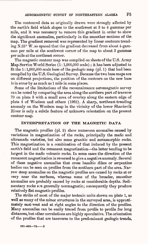The contoured data as originally drawn were strongly affected by the earth's field which slopes to the southwest at 3 to 4 gammas per mile, and it was necessary to remove this gradient in order to show the significant anomalies, particularly in the smoother sections of the map. The gradient removed was represented by linear contours trending N.25° W. so spaced that the gradient decreased from about 4-gammas per mile at the southwest corner of the map to about 3 gammas per mile at the northeast corner.

The magnetic contour map was compiled on sheets of the U.S. Army Map Service World Series  $(1:1,000,000)$  scale); it has been adjusted to fit the  $1:1,000,000$ -scale base of the geologic map (pl. 1) that had been compiled by the U.S. Geological Survey. Because the two base maps are on different projections, the position of the contours on the new base is in error by as much as 1 mile in some places.

Some of the limitations of the reconnaissance aeromagnetic survey can be noted by comparing the area along the northern part of traverse 70 on plate 3 with a small area of overlap along the eastern edge of plate 4 of Woolson and others (1962). A sharp, northeast-trending anomaly on the Woolson map in the vicinity of the lower Shaviovik River is only a subtle feature of unknown orientation on the present contour map.

### **INTERPRETATION OF THE MAGNETIC DATA**

The magnetic profiles (pi. 2) show numerous anomalies caused by variations in magnetization of the rocks, principally the mafic and ultramafic varieties, but also some granitic and metamorphic rocks. This magnetization is a combination of that induced by the present earth's field and the remanent magnetization—the latter tending to be largest in the mafic volcanic rocks. In some cases the direction of the remanent magnetization is reversed to give a negative anomaly. Several of these negative anomalies that cross basaltic dikes or serpentine bodies can be seen on profiles from the southern part of the area. Narrow steep anomalies on the magnetic profiles are caused by rocks at or very near the surfaces, whereas some of the broader, smoother anomalies are probably caused by rocks at considerable depths. Sedimentary rocks are generally nonmagnetic; consequently they produce relatively flat magnetic profiles.

The strike of most of the major tectonic units shown on plate 1, as well as many of the minor structures in the surveyed area, is approximately east-west and at right angles to the direction of the profiles. Many anomalies can be easily traced from profile to profile for long distances, but other correlations are highly speculative. The orientation of the profiles that are tansverse to the predominant geologic trends,

 $361 - 498 - 70 - 2$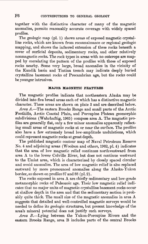together with the distinctive character of many of the magnetic anomalies, permits reasonably accurate coverage with widely spaced profiles.

The geologic map (pi. 1) shows areas of exposed magnetic crystalline rocks, which are known from reconnaissance or regional geologic mapping, and shows the inferred extension of these rocks beneath a cover of surficial deposits, sedimentary rocks, and other relatively nonmagnetic rocks. The rock types in areas with no outcrops are mapped by correlating the pattern of the profiles with those of exposed rocks nearby. Some very large, broad anomalies in the vicinity of the Kandik basin and Tintina trench may indicate deeply buried crystalline basement rocks of Precambrian age, but the rocks could be younger intrusives.

#### **MAJOR MAGNETIC FEATURES**

The magnetic profiles indicate that northeastern Alaska may be divided into five broad areas each of which has a distinctive magnetic character. These areas are shown on plate 3 and are described below.

Area A.—The eastern Brooks Range and small parts of the Arctic Foothills, Arctic Coastal Plain, and Porcupine Plateau geomorphic subdivisions (Wahrhaftig, 1965) compose area A. The magnetic profiles are generally flat, only a few minor anomalies apparently reflecting small areas of magnetic rocks at or near the surface. The profiles also have a few extremely broad low-amplitude undulations, which could represent magnetic rocks at great depth.

The published magnetic contour map of Naval Petroleum Reserve No. 4 and adjoining areas (Woolson and others, 1962, pi. 4) indicates that the area of low magnetic relief continues northwestward from area A to the lower Colville River, but does not continue westward to the Umiat area, which is characterized by closely spaced circular and ovoid anomalies. The area of low magnetic relief is also replaced eastward by more pronounced anomalies along the Alaska-Yukon border, as shown on profiles 87 and 88 (pi. 2).

The rocks exposed in area A are chiefly sedimentary and low-grade metamorphic rocks of Paleozoic age. Their low magnetic relief indicates that no major units of magnetic crystalline basement rocks occur at shallow depth in the area and that the sedimentary section is probably quite thick. The small size of the magnetic anomalies in area A suggests that detailed and well-controlled magnetic surveys would be needed to define its geologic structures, but present knowledge of the area's mineral potential does not justify such surveys.

Area B.—Lying between the Yukon-Porcupine Rivers and the eastern Brooks Range, area B includes parts of the central Brooks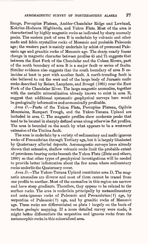Eange, Porcupine Plateau, Ambler-Chandalar Eidge and Lowland, Kokrine-Hodzana Highlands, and Yukon Flats. Most of the area is characterized by highly magnetic rocks as indicated by sharp anomaly peaks. The eastern part of area B is underlain by volcanic and other mafic and felsic crystalline rocks of Mesozoic and probable Paleozoic age; the western part is mainly underlain by schist of presumed Paleozoic age and granitic rocks of Mesozoic age. The sharp nearly linear change in magnetic character between profiles 45 and 75 suggests that between the East Fork of the Chandalar and the Coleen Eivers, part of the north boundary of area B is a major fault or series of faults. Similar evidence also suggests that the south boundary of area B coincides at least in part with another fault. A north-trending fault is also believed to cut the west end of the large body of Jurassic mafic rocks described by Eeiser, Lanphere, and Brosge (1965) near the East Fork of the Chandalar Eiver. The large magnetic anomalies, together with the metallic mineralization already known to exist in area B, suggest that additional systematic geophysical surveys here would be geologically informative and economically profitable.

Area C.-Parts of the Yukon Flats, Porcupine Plateau, Ogilvie Mountains, Eampart Trough, and the Yukon-Tanana Upland are included in area C. The magnetic profiles show moderate peaks that tend to be located in sharply defined areas along otherwise flat profiles. The area is bounded on the south by what appears to be a westward extension of the Tintina fault.

The area is underlain by a variety of sedimentary and mafic igneous rocks of Precambrian through Tertiary age, but it is largely blanketed by Quaternary alluvial deposits. Aeromagnetic surveys have already shown that extensive, shallow volcanic rocks limit the probable extent of petroleum-bearing rocks beneath the Yukon Flats (Zietz and others,  $1960$ ) so that other types of geophysical investigations will be needed to provide better information about the few areas where sedimentary rocks underlie the Quaternary cover.

Area D. The Yukon-Tanana Upland constitutes area D. The magnetic anomalies are diverse and most of them cannot be traced from one profile to another. Most of the anomalies in this region are narrow and have steep gradients. Therefore, they appear to be related to the surface rocks. The area is underlain principally by metasedimentary and meta-igneous rocks of Paleozoic and Precambrian (?) age, by serpentine of Paleozoic<sup>(?)</sup> age, and by granitic rocks of Mesozoic age. These rocks are differentiated on plate 1 largely on the basis of surface geologic mapping. If a more detailed survey were made, it might better differentiate the serpentine and igneous rocks from the metamorphic rocks in this mineralized area.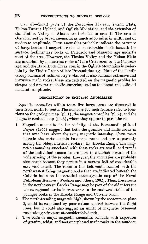Area E.-Small parts of the Porcupine Plateau, Yukon Flats, Yukon-Tanana Upland, and Ogilvie Mountains, and the extension of the Tintina Valley in Alaska are included in area E. The area is characterized by broad anomalies as much as 50 miles in width and of moderate amplitude. These anomalies probably indicate the presence of large bodies of magnetic rocks at considerable depth beneath the surface. Sedimentary rocks of Paleozoic and Mesozoic age underliemost of the area. However, the Tintina Valley and the Yukon Flats are underlain by nonmarine rocks of Late Cretaceous to late Cenozoic age, and the Hard Luck Creek area in the Ogilvie Mountains is underlain by the Tindir Group of late Precambrian age. Most of the Tindir Group consists of sedimentary rocks, but it also contains extrusive and intrusive mafic rocks; these are reflected on the magnetic profiles by steeper and greater anomalies superimposed on the broad anomalies of moderate amplitude.

#### DESCRIPTION OF SPECIFIC ANOMALIES

Specific anomalies within these five large areas are discussed in turn from north to south. The numbers for each feature refer to locations on the geologic map (pi. 1), the magnetic profiles (pi. 2), and the magnetic contour map (pi. 3), where they appear in parentheses.

- 1. Magnetic anomalies in the vicinity of the Komanzof uplift of Payne (1955) suggest that both the granitic and mafic rocks in that area have about the same magnetic intensity. These rocks intrude the metamorphic basement rocks and are apparently among the oldest intrusive rocks in the Brooks Range. The magnetic anomalies associated with these rocks are small, and trends of the individual anomalies are hard to establish because of the wide spacing of the profiles. However, the anomalies are probably significant because they persist in a narrow belt of considerable east-west extent. The rocks in this belt could connect with the northwest-striking magnetic rocks that are indicated beneath the Colville basin on the detailed aeromagnetic map of the Naval Petroleum Reserve (Woolson and others, 1962). Thus, these rocks in the northeastern Brooks Range may be part of the older terrane whose regional strike is transverse to the east-west strike of the younger rocks in the Brooks Range and Colville basin.
- 2. The north-trending magnetic high, shown by the contours on plate 3, could be explained by poor datum control between the flight lines, but it could also suggest an uplift of magnetic basement rocks along a fracture at considerable depth.
- 3. Two belts of major magnetic anomalies coincide with exposures of granite, schist, and metamorphosed mafic rocks in the southern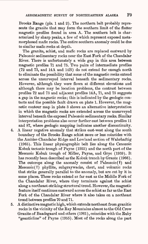Brooks Range (pis. 1 and 2). The northern belt probably represents the granite that may form the southern limit of the flatter magnetic profiles found in area A. The southern belt is characterized by sharp peaks, a few of which represent exposed metamorphosed mafic rocks. The entire southern anomaly could be due to similar mafic rocks at depth.

The granite, schist, and mafic rocks are replaced eastward by Paleozoic sedimentary rocks near the East Fork of the Chandalar River. There is unfortunately a wide gap in this area between magnetic profiles 71 and 75. Two pairs of intermediate profiles  $(72$  and  $73$ , and  $14A$  and  $14B$ ) do not extend far enough north to eliminate the possibility that some of the magnetic rocks extend across the unsurveyed interval beneath the sedimentary rocks. However, although they were flown at different elevations and although there may be location problems, the contrast between profiles 72 and 73 and adjacent profiles 14A, 71, and 75 suggests a gap in the magnetic rocks; this is indicated by the geologic contacts and the possible fault drawn on plate 1. However, the magnetic contour map in plate 3 shows an alternative interpretation in which the magnetic rocks are extended across the unsurveyed interval beneath the exposed Paleozoic sedimentary rocks. Similar interpretation problems also occur farther east between profiles 11 and 87, where geologic mapping indicates another discontinuity.

- A linear negative anomaly that strikes east-west along the south 4. boundary of the Brooks Range schist more or less coincides with the Ambler-Chandalar Ridge and Lowland section of Wahrhaftig (1965). This linear physiographic belt lies along the Cenozoic Kobuk tectonic trough of Payne (1955) and the north part of the Mesozoic Kobuk trough of Miller, Payne, and Gryc (1959). It has recently been described as the Kobuk trench by Grantz (1966). The outcrops along the anomaly consist of Paleozoic(?) and Mesozoic(?) phyllite, subgraywacke, chert, and volcanic rocks that strike generally parallel to the anomaly, but are cut by it in some places. These rocks extend as far east as the Middle Fork of the Chandalar River, where they terminate against the schist along a northeast-striking structural trend. However, the magnetic feature itself continues eastward across the schist as far as the East Fork of the Chandalar River where it also takes on a northeast trend between profiles 70 and 71.
- A distinctive magnetic high, which extends northeast from granitic 5. rocks in the vicinity of the Ray Mountains almost to the Old Crow Granite of Baadsgaard and others (1961), coincides with the Ruby "geanticline" of Payne (1955). Most of the rocks along the part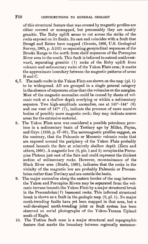of this structural feature that was crossed by magnetic profiles are either covered or unmapped, but presumably they are mostly granitic. The Euby uplift seems to cut across the strike of the rocks exposed on its flanks. Its east end coincides with a fault that Brosge and Eeiser have mapped (Grantz, 1966, U.S. Geological Survey, 1965, p. A103) as separating geosynclinal sequences of the Brooks Eange to the north from shelf sequences of the Porcupine River area to the south. This fault is believed to extend southwestward, separating granitic (?) rocks of the Euby uplift from volcanic and sedimentary rocks of the Yukon Flats area; it marks the approximate boundary between the magnetic patterns of areas B and C.

- 6,7. The mafic rocks in the Yukon Flats are shown on the map (pi. 1) to be widespread. All are grouped in a single general category in the absence of exposures other than the volcanics on the margins. Most of the magnetic anomalies could be caused by sheets of volcanic rock at a shallow depth overlying or within a sedimentary sequence. Two high-amplitude anomalies, one at  $143^{\circ}-144^{\circ}$  (6) and one west of  $147^\circ$  (7), indicate the presence of more massive bodies of possibly more magnetic rock; they may indicate source areas for the extrusive material.
- 8. The Yukon Flats area was considered a possible petroleum province in a sedimentary basin of Tertiary age by Miller, Payne, and Gryc (1959, p. 87-88). The aeromagnetic profiles suggest, on the contrary, that the Paleozoic or Mesozoic volcanic rocks that are exposed around the periphery of the Yukon Flats probably extend beneath the flats at relatively shallow depth (Zietz and others, 1960). A magnetic low (8, pis. 1 and 3) occupies the Porcupine Plateau just east of the flats and could represent the thickest section of sedimentary rocks. However, reconnaissance of the Black Eiver area (Brabb, 1969), indicates that the rocks in the vicinity of the magnetic low are probably Paleozoic or Precambrian rather than Tertiary and are outside the basin.
- 9. The major anomalies along the eastern border of the map between the Yukon and Porcupine Eivers may be separated from the volcanic terrane beneath the Yukon Flats by a major structural break in the Precambrian (?) basement rocks. This inferred structural break is shown as a fault in the geologic map (9, pi. 1). No major north-trending faults have yet been mapped in that area, but a well-developed north-trending joint or fault system has been observed on aerial photographs of the Yukon-Tanana Upland south of Eagle.
- 10. The Tintina fault zone is a major structural and topographic feature that marks the boundary between regionally metamor-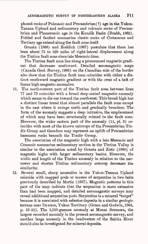phosed rocks of Paleozoic and Precambrian (?) age in the Yukon-Tanana Upland and sedimentary and volcanic rocks of Precambrian and Phanerozoic age in the Kandik Basin (Brabb, 1962). Folded and faulted nonmarine clastic rocks of Cretaceous and Tertiary age extend along the fault zone itself.

Grantz (1966) and Eoddick (1967) postulate that there has been about 75 to 220 miles of right-lateral displacement along the Tintina fault zone since late Mesozoic time.

The Tintina fault zone lies along a pronounced magnetic gradient that decreases southward. Detailed aeromagnetic maps (Canada Geol. Survey, 1966) on the Canadian side of the border also show that the Tintina fault zone coincides with either a distinct southward magnetic gradient or with the crest of a belt of linear high magnetic anomalies.

11. The northwestern part of the Tintina fault zone between lines 77 and 79 coincides with a broad deep-seated magnetic anomaly which seems to die out toward the northwest. This broad high has a distinct linear trend that almost parallels the fault zone except in the east where it swings north and gradually broadens. The form of the anomaly suggests a deep intrusive, the emplacement of which may have been structurally related to the fault zone. However, the wider eastern part of the anomaly (11, pi. 3) coincides with most of the known outcrops of the Precambrian Tindir Group and therefore may represent an uplift of Precambrian basement rocks beneath the Tindir Group.

The association of the magnetic high with a late Mesozoic and Cenozoic nonmarine sedimentary section in the Tintina Valley is similar to the association noted by Grantz and Zietz (1960) of magnetic highs with larger sedimentary basins. However, the width and length of the Tintina anomaly in relation to the narrower and shorter Tintina sedimentary outcrop decreases the similarity.

12. Several small, sharp anomalies in the Yukon-Tanana Upland coincide with mapped pods or masses of serpentine in two belts previously described by Mertie (1937). Magnetic patterns in this part of the map indicate that the serpentine is more extensive than had been mapped, and detailed aeromagnetic surveys may reveal additional serpentine pods. Serpentine is a mineral "target" because it is associated with asbestos deposits in a similar geologic terrane near Dawson, Yukon Territory (Green and Godwin, 1964, p. 19-22). The 1,100-gamma anomaly at Mount Sorensen, the largest recorded anomaly in the present aeromagnetic survey, and another large anomaly in the headwaters of the Salcha River should also be investigated for mineral deposits.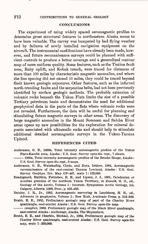#### **CONCLUSIONS**

The experiment of using widely spaced aeromagnetic profiles to determine gross structural features in northeastern Alaska seems to have been valuable. The survey was hampered by bad flying weather and by failures of newly installed navigation equipment on the aircraft. The instrumental modifications have already been made, however, and future reconnaissance surveys could be planned with sufficient controls to produce a better coverage and a generalized contour map of more uniform quality. Some features, such as the Tintina fault zone, Ruby uplift, and Kobuk trench, were traced for distances of more than 100 miles by characteristic magnetic anomalies, and where the line spacing did not exceed 10 miles, they could be traced beyond their known geologic exposures. Other features, such as the inferred north-trending faults and the serpentine belts, had not been previously identified by surface geologic methods. The probable extension of volcanic rocks beneath the Yukon Flats limits the size of a possible Tertiary petroleum basin and demonstrates the need for additional geophysical data in the parts of the flats where volcanic rocks were not revealed. Furthermore, the data will be useful for planning and stimulating future magnetic surveys in other areas. The discovery of large magnetic anomalies in the Mount Sorensen and Salcha River areas opens up new possibilities for the exploration for mineral deposits associated with ultramafic rocks and should help to stimulate additional detailed aeromagnetic surveys in the Yukon-Tanana Upland.

#### **REFERENCES CITED**

- Andreasen, G. E., 1960b, Total intensity aeromagnetic profiles of the Yukon Flats-Kandik area, Alaska: U.S. Geol. Survey open-file rept., 7 sheets.
	- 1960a, Total intensity aeromagnetic profiles of the Brooks Range, Alaska: U.S. Geol. Survey open-file rept., 3 maps.
- Andreasen, G. E., Wahrhaftig, Clyde, and Zietz, Isidore, 1964, Aeromagnetic reconnaissance of the east-central Tanana Lowland, Alaska: U.S. Geol. Survey Geophys. Inv. Map GP-447, scale 1:125,000.
- Baadsgaard, Halfden, Folinsbee, R. E., and Lipson, J. L, 1961, Caledonian or Acadian granites of the northern Yukon Territory, *in Raasch,* G. O., ed., Geology of the Arctic, Volume 1: Internat. Symposium Arctic Geology, 1st, Calgary, Alberta, 1960, Proc., p. 458-465.
- Balsley, J. R., Jr., 1952, Aeromagnetic surveying *in* Landsberg, H. E., ed., Advances in geophysics, Volume 1: New York, Academic Press, p. 313-349.

Brabb, E. E., 1962, Preliminary geologic map of part of the Charley River quadrangle, east-central Alaska: U.S. Geol. Survey open-file map.

 compiler, 1969, Preliminary geologic map of the Black River quadrangle, east-central Alaska: Anchorage, Alaska, The Mapmakers.

Brabb, E. E., and Churkin, Michael, Jr., 1964, Preliminary geologic map of the Charley River quadrangle, east-central Alaska: U.S. Geol. Survey open-file map, scale 1: 250,000.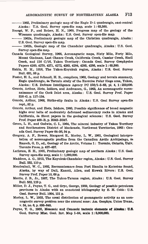1965, Preliminary geologic map of the Eagle D-l quadrangle, east-central Alaska: U.S. Geol. Survey open-file map, scale 1:63,360.

Brosge, W. P., and Reiser, H. N., 1960, Progress map of the geology of the 1962a, Preliminary geologic map of the Christian quadrangle, Alaska: Wiseman quadrangle, Alaska: U.S. Geol. Survey open-file map.

U.S. Geol. Survey open-file map. — 1962a, Preliminary geologic map of the Christian quadrangle, Alaska:<br>U.S. Geol. Survey open-file map.<br>— 1962b, Geologic map of the Chandalar quadrangle, Alaska: U.S. Geol.

Survey open-file map.

- Canada Geological Survey, 1966, Aeromagnetic maps, Sixty Mile, Forty Mile, Mount Gladman, Last Chance Creek, California Creek, Cassiar Creek, Shell Creek, and 116 C/16, Yukon Territory: Canada Geol. Survey Geophysics Papers 4269, 4270, 4271, 4272, 4283, 4284, 4285, 4286, scale 1: 63,360.
- Eakin, H. M., 1916, The Yukon-Koyukuk region, Alaska: U.S. Geol. Survey Bull. 631, 88 p.
- Foster, H. L., and Schmoll, H. R., compilers, 1963, Geology and terrain summary, Eagle quadrangle, *in* Terrain study of the Exercise Polar Siege area, Yukon, Alaska: U.S. Defense Intelligence Agency PC 310/1-3-63, pi. 4, 1:250,000.
- Grantz, Arthur, Zietz, Isidore, and Andreasen, G., 1963, An aeromagnetic reconnaissance of the Cook Inlet area, Alaska: U.S. Geol. Survey Prof. Paper 316-G, p. 117-134.
- Grantz, Arthur, 1966, Strike-slip faults in Alaska: U.S. Geol Survey open-file rept, 82 p.
- Grantz, Arthur, and Zietz, Isidore, 1960, Possible significance of broad magnetic highs over belts of moderately deformed sedimentary rocks in Alaska and California, *m* Short papers in the geological sciences: U.S. Geol. Survey Prof. Paper 400-B, p. B342-B347.
- Green, L. H., and Godwin, C. L, 1964, The mineral industry of Yukon Territory and Southeastern District of Mackenzie, Northwest Territories, 1963: Canada Geol. Survey Paper 64-36, 94 p.
- Gregory, A. F., Bower, Margaret E., Morley, L. W., 1961, Geological interpretation of aeromagnetic profiles from the Canadian Arctic Archipelago, *in*  Raasch, G. D., ed., Geology of the Arctic, Volume 1: Toronto, Ontario, Univ. Toronto Press, p. 427-437.
- Lathram, E. H., 1965, Preliminary geologic map of northern Alaska: U.S. Geol. Survey open-file map, scale 1:1,000,000.
- Maddren, A. G., 1913, The Koyukuk-Chandalar region, Alaska: U.S. Geol. Survey Bull. 532,119 p.
- Mendenhall, W. C., 1902, Reconnaissance from Fort Hamlin to Kotzebue Sound, Alaska, by way of Dall, Kanuti, Alien, and Kowak Rivers: U.S. Geol. Survey Prof. Paper 10,68 p.
- Mertie, J. B., Jr., 1937, The Yukon-Tanana region, Alaska: U.S. Geol. Survey Bull. 532,119 p.
- Miller, D. J., Payne, T. G., and Gryc, George, 1959, Geology of possible petroleum provinces in Alaska with an annotated bibliography by E. H. Cobb: U.S. Geol. Survey Bull. 1094,131 p.
- Morley, L. W., 1953, The areal distribution of geomagnetic activity as an aeromagnetic survey problem near the auroral zone: Am. Geophys. Union Trans., v. 34, no. 6, p. 836-840.
- Payne, T. G., 1955, Mesozoic and Cenozoic tectonic elements **of Alaska:** U.S. Geol. Survey Misc. Geol. Inv. Map 1-84, scale 1:5,000,000.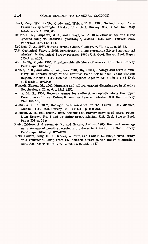- Péwé, Troy, Wahrhaftig, Clyde, and Weber, F. R., 1966, Geologic map of the Fairbanks quadrangle, Alaska: U.S. Geol. Survey Misc. Geol. Inv. Map 1-455, scale 1: 250,000.
- Reiser, H. N., Lanphere, M. A., and Brosgé, W. P., 1965, Jurassic age of a mafic igneous complex, Christian quadrangle, Alaska: U.S. Geol. Survey Prof. Paper 525-C, p. C68-C71.
- Roddick, J. A., 1967, Tintina trench: Jour. Geology, v. 75, no. 1, p. 23-33.
- U.S. Geological Survey, 1965, Stratigraphy along Porcupine River [east-central Alaska], *in* Geological Survey research 1965: U.S. Geol. Survey Prof. Paper 525-A, p. A103.
- Wahrhaftig, Clyde, 1965, Physiographic divisions of Alaska: U.S. Geol. Survey Prof. Paper 482, 52 p.
- Weber, F. R., and others, compilers, 1964, Big Delta, Geology and terrain summary, *in* Terrain study of the Exercise Polar Strike Area Yukon-Tanana Region, Alaska: U.S. Defense Intelligence Agency AP-1-130-1-7-64-INT, pi. 5, scale 1:250,000.
- Wescott, Eugene M., 1960, Magnetic and telluric current disturbances in Alaska: Geophysics, v. 25, no 6, p. 1242-1250.
- White, M. G., 1952, Reconnaissance for radioactive deposits along the upper Porcupine and lower Coleen Rivers, northeastern Alaska: U.S. Geol. Survey Circ. 185,13 p.
- Williams, J. R., 1962, Geologic reconnaissance of the Yukon Flats district, Alaska: U.S. Geol. Survey Bull. 1111-H, p. 289-^331.
- Woolson, J. R., and others, 1962, Seismic and gravity surveys of Naval Petroleum Reserve No. 4 and adjoining areas, Alaska: U.S. Geol. Survey Prof. Paper 304-A, 25 p.
- Zietz, Isidore, Andreasen, G. E., and Grantz, Arthur, 1960, Regional aeromagnetic surveys of possible petroleum provinces in Alaska: U.S. Geol. Survey Prof. Paper 400-B, p. B75-B76.
- Zietz, Isidore, King, E. R., Geddes, Wilburt, and Lidiak, E., 1966, Crustal study of a continental strip from the Atlantic Ocean to the Rocky Mountains: Geol. Soc. America Bull., v. 77, no. 12, p. 1427-1447.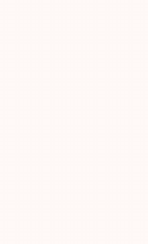$\label{eq:2.1} \frac{1}{2} \int_{\mathbb{R}^3} \frac{1}{\sqrt{2}} \, \mathrm{d} x \, \mathrm{d} y \, \mathrm{d} y \, \mathrm{d} y \, \mathrm{d} y \, \mathrm{d} y \, \mathrm{d} y \, \mathrm{d} y \, \mathrm{d} y \, \mathrm{d} y \, \mathrm{d} y \, \mathrm{d} y \, \mathrm{d} y \, \mathrm{d} y \, \mathrm{d} y \, \mathrm{d} y \, \mathrm{d} y \, \mathrm{d} y \, \mathrm{d} y \, \mathrm{d} y \, \mathrm{d} y \, \mathrm{d} y \, \mathrm{d$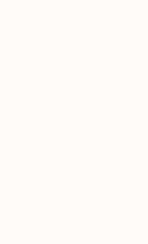$\sim 10^{11}$